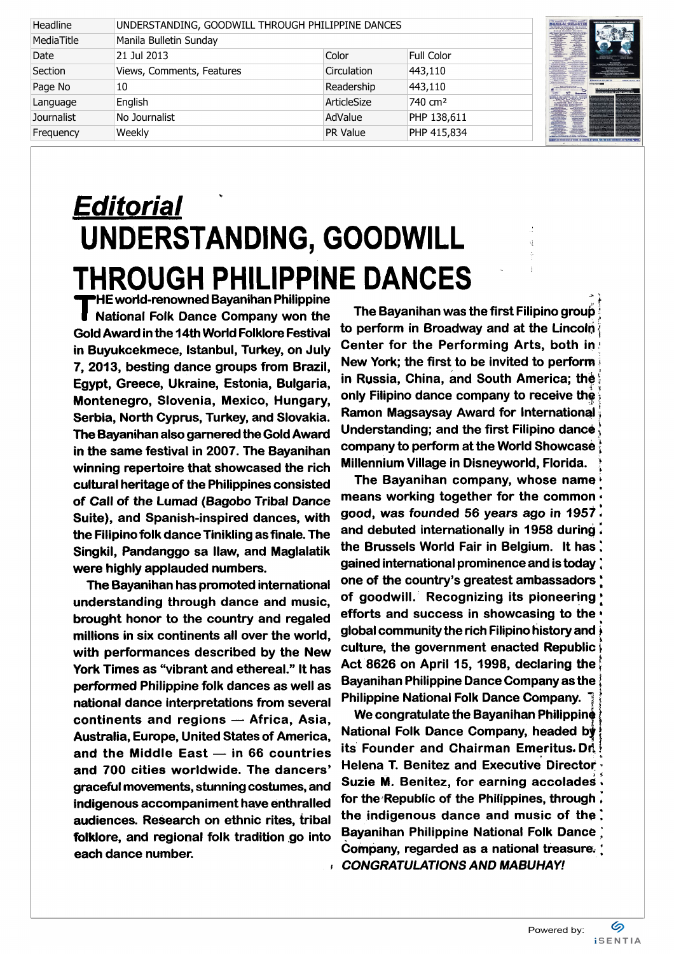| Headline          | UNDERSTANDING, GOODWILL THROUGH PHILIPPINE DANCES |             |                     | MANILA BULLETIN        |
|-------------------|---------------------------------------------------|-------------|---------------------|------------------------|
| MediaTitle        | Manila Bulletin Sunday                            |             |                     | 董董                     |
| Date              | 21 Jul 2013                                       | Color       | Full Color          |                        |
| Section           | Views, Comments, Features                         | Circulation | 443,110             |                        |
| Page No           | 10                                                | Readership  | 443,110             | TURNING ISSN 1005NC DA |
| Language          | English                                           | ArticleSize | 740 cm <sup>2</sup> |                        |
| <b>Journalist</b> | No Journalist                                     | AdValue     | PHP 138,611         |                        |
| Frequency         | Weekly                                            | PR Value    | PHP 415,834         |                        |

## **Editorial** UNDERSTANDING, GOODWILL THROUGH PHILIPPINE DANCES

**PHE world-renowned Bayanihan Philippine** National Folk Dance Company won the Gold Award in the 14th World Folklore Festival in Buyukcekmece, Istanbul, Turkey, on July 7, 2013, besting dance groups from Brazil, Egypt, Greece, Ukraine, Estonia, Bulgaria, Montenegro, Slovenia, Mexico, Hungary, Serbia, North Cyprus, Turkey, and Slovakia. The Bayanihan also garnered the Gold Award in the same festival in 2007. The Bayanihan winning repertoire that showcased the rich cultural heritage of the Philippines consisted of Call of the Lumad (Bagobo Tribal Dance Suite), and Spanish-inspired dances, with the Filipino folk dance Tinikling as finale. The Singkil, Pandanggo sa llaw, and Maglalatik were highly applauded numbers.

The Bayanihan has promoted international understanding through dance and music, brought honor to the country and regaled millions in six continents all over the world, with performances described by the New York Times as "vibrant and ethereal." It has performed Philippine folk dances as well as national dance interpretations from several continents and regions — Africa, Asia, Australia, Europe, United States of America, and the Middle East — in 66 countries and 700 cities worldwide. The dancers' graceful movements, stunning costumes, and indigenous accompaniment have enthralled audiences. Research on ethnic rites, tribal folklore, and regional folk tradition go into each dance number.

t The Bayanihan was the first Filipino group to perform in Broadway and at the Lincoln Center for the Performing Arts, both in ' New York; the first to be invited to perform i in Russia, China, and South America; the only Filipino dance company to receive the Ramon Magsaysay Award for International Understanding; and the first Filipino dance company to perform at the World Showcase j Millennium Village in Disneyworld, Florida. >

The Bayanihan company, whose name ■ means working together for the common < good, was founded 56 years ago in 1957. and debuted internationally in 1958 during the Brussels World Fair in Belgium. It has gained international prominence and is today \ one of the country's greatest ambassadors of goodwill. Recognizing its pioneering efforts and success in showcasing to the • global community the rich Filipino history and  $\overline{\phantom{a}}$ culture, the government enacted Republic Act 8626 on April 15, 1998, declaring the Bayanihan Philippine Dance Company as the Philippine National Folk Dance Company. "]

I CONGRATULATIONS AND MABUHAY! We congratulate the Bayanihan Philippine National Folk Dance Company, headed by | its Founder and Chairman Emeritus. Dr. Helena T. Benitez and Executive Director Suzie M. Benitez, for earning accolades for the Republic of the Philippines, through the indigenous dance and music of the $\ddot$ Bayanihan Philippine National Folk Dance Company, regarded as a national treasure.